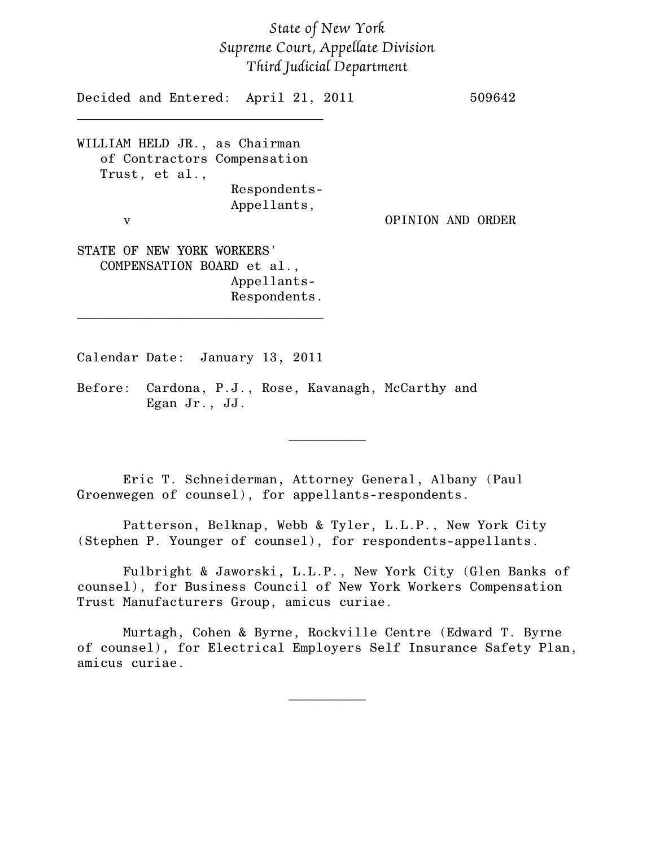# *State of New York Supreme Court, Appellate Division Third Judicial Department*

Decided and Entered: April 21, 2011 509642 \_\_\_\_\_\_\_\_\_\_\_\_\_\_\_\_\_\_\_\_\_\_\_\_\_\_\_\_\_\_\_\_ WILLIAM HELD JR., as Chairman of Contractors Compensation Trust, et al., Respondents-Appellants, v OPINION AND ORDER STATE OF NEW YORK WORKERS' COMPENSATION BOARD et al., Appellants-Respondents. \_\_\_\_\_\_\_\_\_\_\_\_\_\_\_\_\_\_\_\_\_\_\_\_\_\_\_\_\_\_\_\_

Calendar Date: January 13, 2011

Before: Cardona, P.J., Rose, Kavanagh, McCarthy and Egan Jr., JJ.

Eric T. Schneiderman, Attorney General, Albany (Paul Groenwegen of counsel), for appellants-respondents.

Patterson, Belknap, Webb & Tyler, L.L.P., New York City (Stephen P. Younger of counsel), for respondents-appellants.

Fulbright & Jaworski, L.L.P., New York City (Glen Banks of counsel), for Business Council of New York Workers Compensation Trust Manufacturers Group, amicus curiae.

 $\frac{1}{2}$ 

Murtagh, Cohen & Byrne, Rockville Centre (Edward T. Byrne of counsel), for Electrical Employers Self Insurance Safety Plan, amicus curiae.

 $\frac{1}{2}$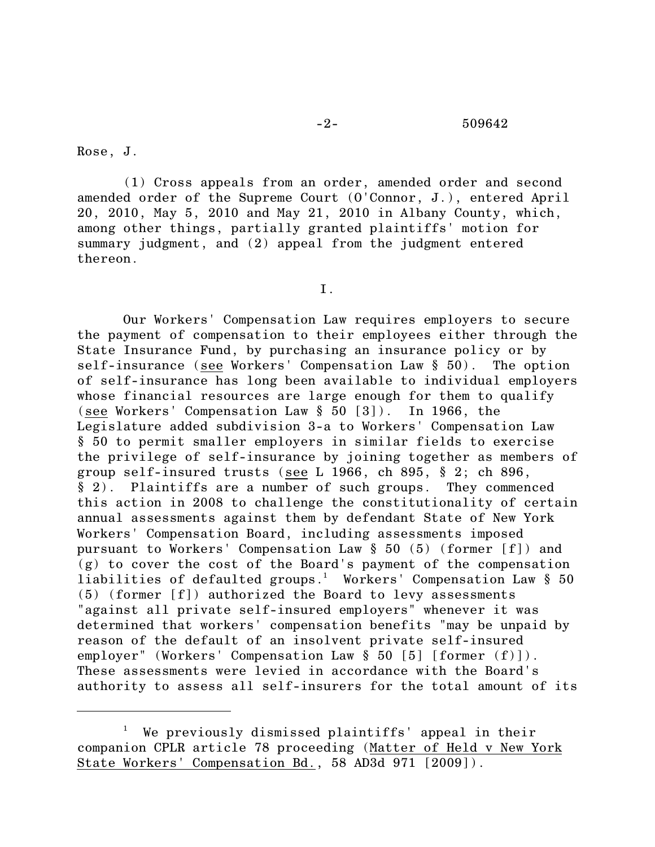### -2- 509642

Rose, J.

(1) Cross appeals from an order, amended order and second amended order of the Supreme Court (O'Connor, J.), entered April 20, 2010, May 5, 2010 and May 21, 2010 in Albany County, which, among other things, partially granted plaintiffs' motion for summary judgment, and (2) appeal from the judgment entered thereon.

I.

Our Workers' Compensation Law requires employers to secure the payment of compensation to their employees either through the State Insurance Fund, by purchasing an insurance policy or by self-insurance (see Workers' Compensation Law § 50). The option of self-insurance has long been available to individual employers whose financial resources are large enough for them to qualify (see Workers' Compensation Law § 50 [3]). In 1966, the Legislature added subdivision 3-a to Workers' Compensation Law § 50 to permit smaller employers in similar fields to exercise the privilege of self-insurance by joining together as members of group self-insured trusts (see L 1966, ch 895, § 2; ch 896, § 2). Plaintiffs are a number of such groups. They commenced this action in 2008 to challenge the constitutionality of certain annual assessments against them by defendant State of New York Workers' Compensation Board, including assessments imposed pursuant to Workers' Compensation Law § 50 (5) (former [f]) and (g) to cover the cost of the Board's payment of the compensation liabilities of defaulted groups.<sup>1</sup> Workers' Compensation Law § 50 (5) (former [f]) authorized the Board to levy assessments "against all private self-insured employers" whenever it was determined that workers' compensation benefits "may be unpaid by reason of the default of an insolvent private self-insured employer" (Workers' Compensation Law § 50 [5] [former (f)]). These assessments were levied in accordance with the Board's authority to assess all self-insurers for the total amount of its

We previously dismissed plaintiffs' appeal in their companion CPLR article 78 proceeding (Matter of Held v New York State Workers' Compensation Bd., 58 AD3d 971 [2009]).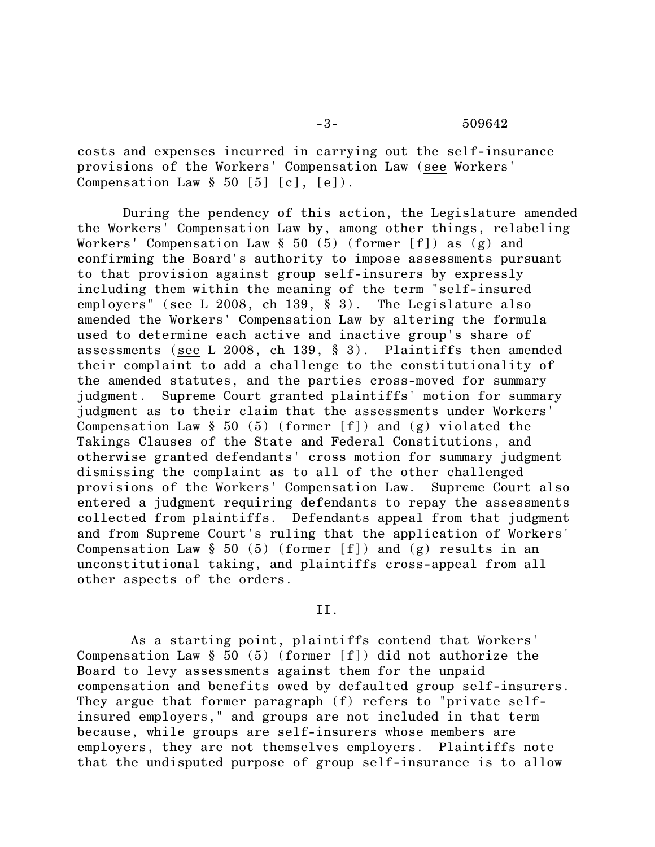costs and expenses incurred in carrying out the self-insurance provisions of the Workers' Compensation Law (see Workers' Compensation Law  $\S$  50 [5] [c], [e]).

During the pendency of this action, the Legislature amended the Workers' Compensation Law by, among other things, relabeling Workers' Compensation Law  $\S$  50 (5) (former [f]) as (g) and confirming the Board's authority to impose assessments pursuant to that provision against group self-insurers by expressly including them within the meaning of the term "self-insured employers" (see L 2008, ch 139, § 3). The Legislature also amended the Workers' Compensation Law by altering the formula used to determine each active and inactive group's share of assessments (see L 2008, ch 139, § 3). Plaintiffs then amended their complaint to add a challenge to the constitutionality of the amended statutes, and the parties cross-moved for summary judgment. Supreme Court granted plaintiffs' motion for summary judgment as to their claim that the assessments under Workers' Compensation Law  $\S$  50 (5) (former [f]) and (g) violated the Takings Clauses of the State and Federal Constitutions, and otherwise granted defendants' cross motion for summary judgment dismissing the complaint as to all of the other challenged provisions of the Workers' Compensation Law. Supreme Court also entered a judgment requiring defendants to repay the assessments collected from plaintiffs. Defendants appeal from that judgment and from Supreme Court's ruling that the application of Workers' Compensation Law  $\S$  50 (5) (former [f]) and (g) results in an unconstitutional taking, and plaintiffs cross-appeal from all other aspects of the orders.

# II.

 As a starting point, plaintiffs contend that Workers' Compensation Law  $\S$  50 (5) (former [f]) did not authorize the Board to levy assessments against them for the unpaid compensation and benefits owed by defaulted group self-insurers. They argue that former paragraph (f) refers to "private selfinsured employers," and groups are not included in that term because, while groups are self-insurers whose members are employers, they are not themselves employers. Plaintiffs note that the undisputed purpose of group self-insurance is to allow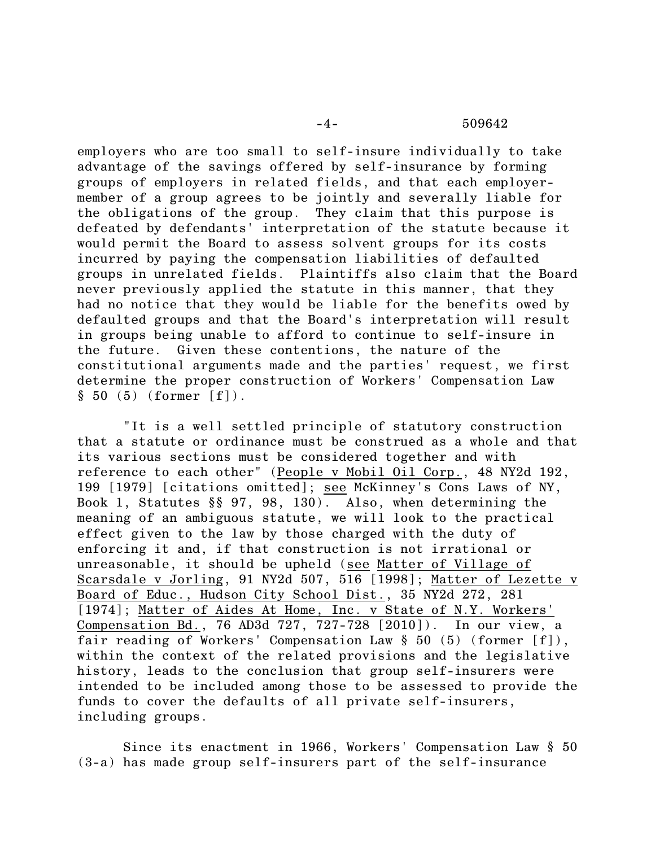#### -4- 509642

employers who are too small to self-insure individually to take advantage of the savings offered by self-insurance by forming groups of employers in related fields, and that each employermember of a group agrees to be jointly and severally liable for the obligations of the group. They claim that this purpose is defeated by defendants' interpretation of the statute because it would permit the Board to assess solvent groups for its costs incurred by paying the compensation liabilities of defaulted groups in unrelated fields. Plaintiffs also claim that the Board never previously applied the statute in this manner, that they had no notice that they would be liable for the benefits owed by defaulted groups and that the Board's interpretation will result in groups being unable to afford to continue to self-insure in the future. Given these contentions, the nature of the constitutional arguments made and the parties' request, we first determine the proper construction of Workers' Compensation Law  $§ 50 (5) (former [f]).$ 

"It is a well settled principle of statutory construction that a statute or ordinance must be construed as a whole and that its various sections must be considered together and with reference to each other" (People v Mobil Oil Corp., 48 NY2d 192, 199 [1979] [citations omitted]; see McKinney's Cons Laws of NY, Book 1, Statutes §§ 97, 98, 130). Also, when determining the meaning of an ambiguous statute, we will look to the practical effect given to the law by those charged with the duty of enforcing it and, if that construction is not irrational or unreasonable, it should be upheld (see Matter of Village of Scarsdale v Jorling, 91 NY2d 507, 516 [1998]; Matter of Lezette v Board of Educ., Hudson City School Dist., 35 NY2d 272, 281 [1974]; Matter of Aides At Home, Inc. v State of N.Y. Workers' Compensation Bd., 76 AD3d 727, 727-728 [2010]). In our view, a fair reading of Workers' Compensation Law § 50 (5) (former [f]), within the context of the related provisions and the legislative history, leads to the conclusion that group self-insurers were intended to be included among those to be assessed to provide the funds to cover the defaults of all private self-insurers, including groups.

Since its enactment in 1966, Workers' Compensation Law § 50 (3-a) has made group self-insurers part of the self-insurance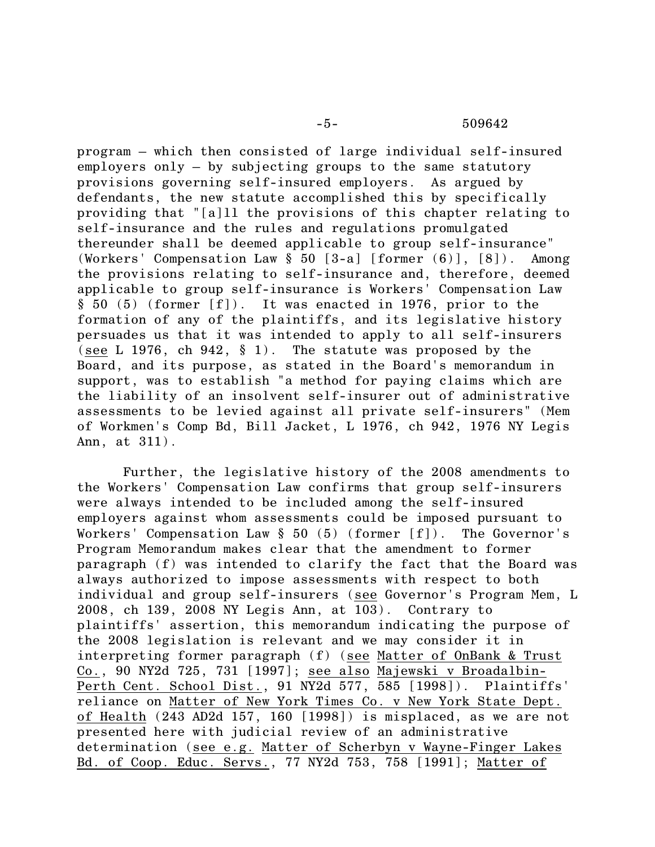-5- 509642

program – which then consisted of large individual self-insured employers only – by subjecting groups to the same statutory provisions governing self-insured employers. As argued by defendants, the new statute accomplished this by specifically providing that "[a]ll the provisions of this chapter relating to self-insurance and the rules and regulations promulgated thereunder shall be deemed applicable to group self-insurance" (Workers' Compensation Law § 50 [3-a] [former (6)], [8]). Among the provisions relating to self-insurance and, therefore, deemed applicable to group self-insurance is Workers' Compensation Law § 50 (5) (former [f]). It was enacted in 1976, prior to the formation of any of the plaintiffs, and its legislative history persuades us that it was intended to apply to all self-insurers (see L 1976, ch 942, § 1). The statute was proposed by the Board, and its purpose, as stated in the Board's memorandum in support, was to establish "a method for paying claims which are the liability of an insolvent self-insurer out of administrative assessments to be levied against all private self-insurers" (Mem of Workmen's Comp Bd, Bill Jacket, L 1976, ch 942, 1976 NY Legis Ann, at 311).

Further, the legislative history of the 2008 amendments to the Workers' Compensation Law confirms that group self-insurers were always intended to be included among the self-insured employers against whom assessments could be imposed pursuant to Workers' Compensation Law  $\S$  50 (5) (former [f]). The Governor's Program Memorandum makes clear that the amendment to former paragraph (f) was intended to clarify the fact that the Board was always authorized to impose assessments with respect to both individual and group self-insurers (see Governor's Program Mem, L 2008, ch 139, 2008 NY Legis Ann, at 103). Contrary to plaintiffs' assertion, this memorandum indicating the purpose of the 2008 legislation is relevant and we may consider it in interpreting former paragraph (f) (see Matter of OnBank & Trust Co., 90 NY2d 725, 731 [1997]; see also Majewski v Broadalbin-Perth Cent. School Dist., 91 NY2d 577, 585 [1998]). Plaintiffs' reliance on Matter of New York Times Co. v New York State Dept. of Health (243 AD2d 157, 160 [1998]) is misplaced, as we are not presented here with judicial review of an administrative determination (see e.g. Matter of Scherbyn v Wayne-Finger Lakes Bd. of Coop. Educ. Servs., 77 NY2d 753, 758 [1991]; Matter of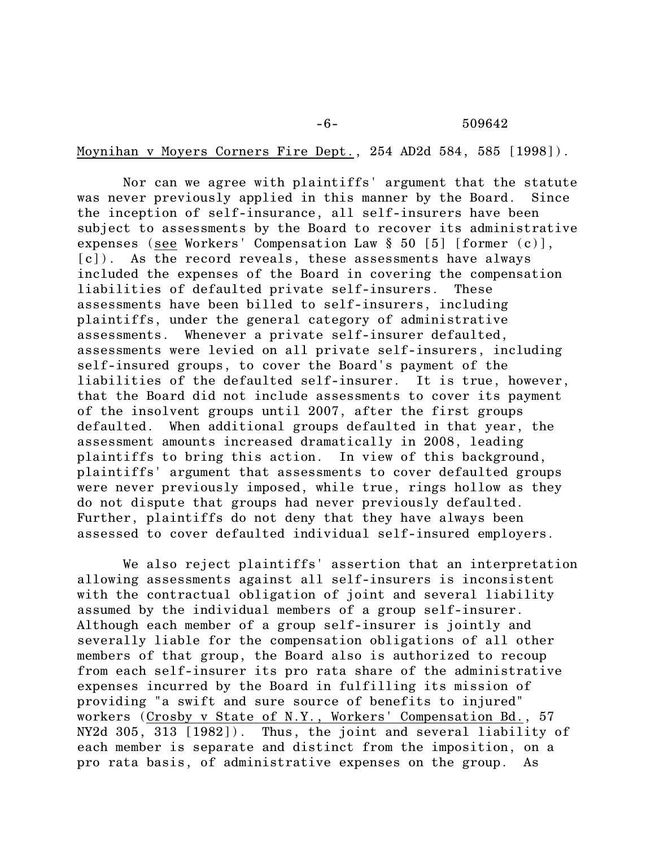## Moynihan v Moyers Corners Fire Dept., 254 AD2d 584, 585 [1998]).

Nor can we agree with plaintiffs' argument that the statute was never previously applied in this manner by the Board. Since the inception of self-insurance, all self-insurers have been subject to assessments by the Board to recover its administrative expenses (see Workers' Compensation Law § 50 [5] [former (c)], [c]). As the record reveals, these assessments have always included the expenses of the Board in covering the compensation liabilities of defaulted private self-insurers. These assessments have been billed to self-insurers, including plaintiffs, under the general category of administrative assessments. Whenever a private self-insurer defaulted, assessments were levied on all private self-insurers, including self-insured groups, to cover the Board's payment of the liabilities of the defaulted self-insurer. It is true, however, that the Board did not include assessments to cover its payment of the insolvent groups until 2007, after the first groups defaulted. When additional groups defaulted in that year, the assessment amounts increased dramatically in 2008, leading plaintiffs to bring this action. In view of this background, plaintiffs' argument that assessments to cover defaulted groups were never previously imposed, while true, rings hollow as they do not dispute that groups had never previously defaulted. Further, plaintiffs do not deny that they have always been assessed to cover defaulted individual self-insured employers.

We also reject plaintiffs' assertion that an interpretation allowing assessments against all self-insurers is inconsistent with the contractual obligation of joint and several liability assumed by the individual members of a group self-insurer. Although each member of a group self-insurer is jointly and severally liable for the compensation obligations of all other members of that group, the Board also is authorized to recoup from each self-insurer its pro rata share of the administrative expenses incurred by the Board in fulfilling its mission of providing "a swift and sure source of benefits to injured" workers (Crosby v State of N.Y., Workers' Compensation Bd., 57 NY2d 305, 313 [1982]). Thus, the joint and several liability of each member is separate and distinct from the imposition, on a pro rata basis, of administrative expenses on the group. As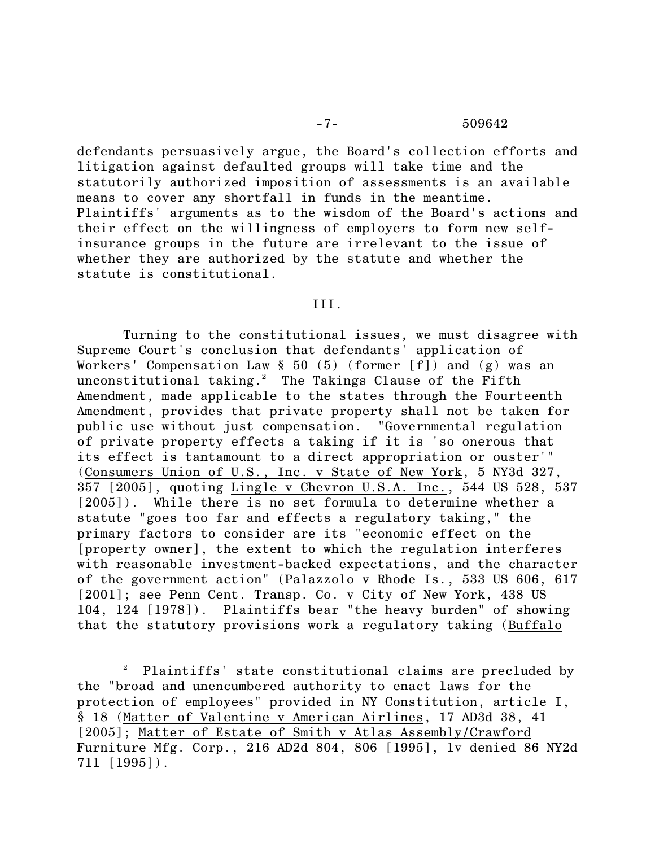defendants persuasively argue, the Board's collection efforts and litigation against defaulted groups will take time and the statutorily authorized imposition of assessments is an available means to cover any shortfall in funds in the meantime. Plaintiffs' arguments as to the wisdom of the Board's actions and their effect on the willingness of employers to form new selfinsurance groups in the future are irrelevant to the issue of whether they are authorized by the statute and whether the statute is constitutional.

#### III.

Turning to the constitutional issues, we must disagree with Supreme Court's conclusion that defendants' application of Workers' Compensation Law  $\S$  50 (5) (former [f]) and (g) was an unconstitutional taking.<sup>2</sup> The Takings Clause of the Fifth Amendment, made applicable to the states through the Fourteenth Amendment, provides that private property shall not be taken for public use without just compensation. "Governmental regulation of private property effects a taking if it is 'so onerous that its effect is tantamount to a direct appropriation or ouster'" (Consumers Union of U.S., Inc. v State of New York, 5 NY3d 327, 357 [2005], quoting Lingle v Chevron U.S.A. Inc., 544 US 528, 537 [2005]). While there is no set formula to determine whether a statute "goes too far and effects a regulatory taking," the primary factors to consider are its "economic effect on the [property owner], the extent to which the regulation interferes with reasonable investment-backed expectations, and the character of the government action" (Palazzolo v Rhode Is., 533 US 606, 617 [2001]; see Penn Cent. Transp. Co. v City of New York, 438 US 104, 124 [1978]). Plaintiffs bear "the heavy burden" of showing that the statutory provisions work a regulatory taking (Buffalo

 $P$  Plaintiffs' state constitutional claims are precluded by the "broad and unencumbered authority to enact laws for the protection of employees" provided in NY Constitution, article I, § 18 (Matter of Valentine v American Airlines, 17 AD3d 38, 41 [2005]; Matter of Estate of Smith v Atlas Assembly/Crawford Furniture Mfg. Corp., 216 AD2d 804, 806 [1995], lv denied 86 NY2d 711 [1995]).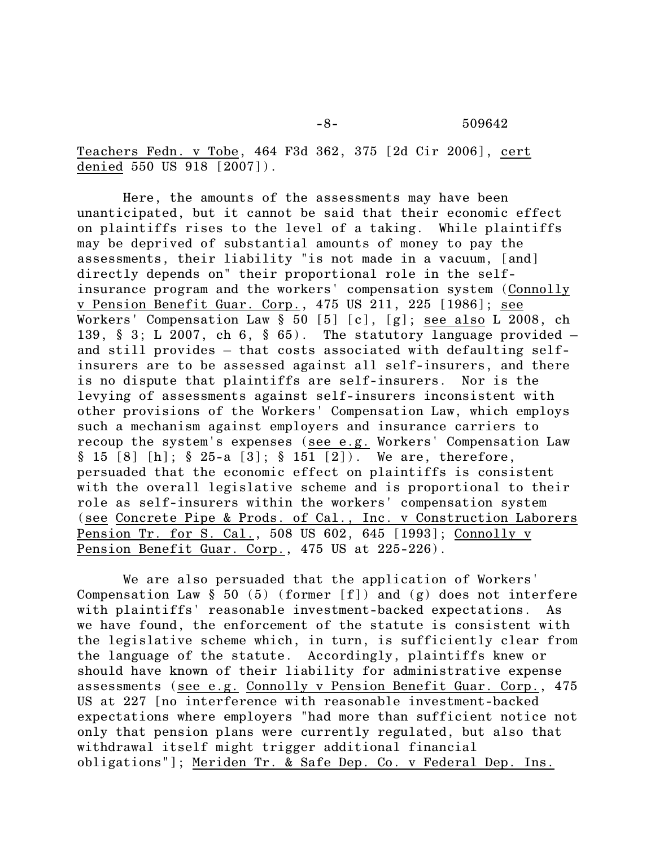Teachers Fedn. v Tobe, 464 F3d 362, 375 [2d Cir 2006], cert denied 550 US 918 [2007]).

Here, the amounts of the assessments may have been unanticipated, but it cannot be said that their economic effect on plaintiffs rises to the level of a taking. While plaintiffs may be deprived of substantial amounts of money to pay the assessments, their liability "is not made in a vacuum, [and] directly depends on" their proportional role in the selfinsurance program and the workers' compensation system (Connolly v Pension Benefit Guar. Corp., 475 US 211, 225 [1986]; see Workers' Compensation Law § 50 [5] [c], [g]; see also L 2008, ch 139,  $§$  3; L 2007, ch 6,  $§$  65). The statutory language provided and still provides – that costs associated with defaulting selfinsurers are to be assessed against all self-insurers, and there is no dispute that plaintiffs are self-insurers. Nor is the levying of assessments against self-insurers inconsistent with other provisions of the Workers' Compensation Law, which employs such a mechanism against employers and insurance carriers to recoup the system's expenses (see e.g. Workers' Compensation Law § 15 [8] [h]; § 25-a [3]; § 151 [2]). We are, therefore, persuaded that the economic effect on plaintiffs is consistent with the overall legislative scheme and is proportional to their role as self-insurers within the workers' compensation system (see Concrete Pipe & Prods. of Cal., Inc. v Construction Laborers Pension Tr. for S. Cal., 508 US 602, 645 [1993]; Connolly v Pension Benefit Guar. Corp., 475 US at 225-226).

We are also persuaded that the application of Workers' Compensation Law  $\S$  50 (5) (former [f]) and (g) does not interfere with plaintiffs' reasonable investment-backed expectations. As we have found, the enforcement of the statute is consistent with the legislative scheme which, in turn, is sufficiently clear from the language of the statute. Accordingly, plaintiffs knew or should have known of their liability for administrative expense assessments (see e.g. Connolly v Pension Benefit Guar. Corp., 475 US at 227 [no interference with reasonable investment-backed expectations where employers "had more than sufficient notice not only that pension plans were currently regulated, but also that withdrawal itself might trigger additional financial obligations"]; Meriden Tr. & Safe Dep. Co. v Federal Dep. Ins.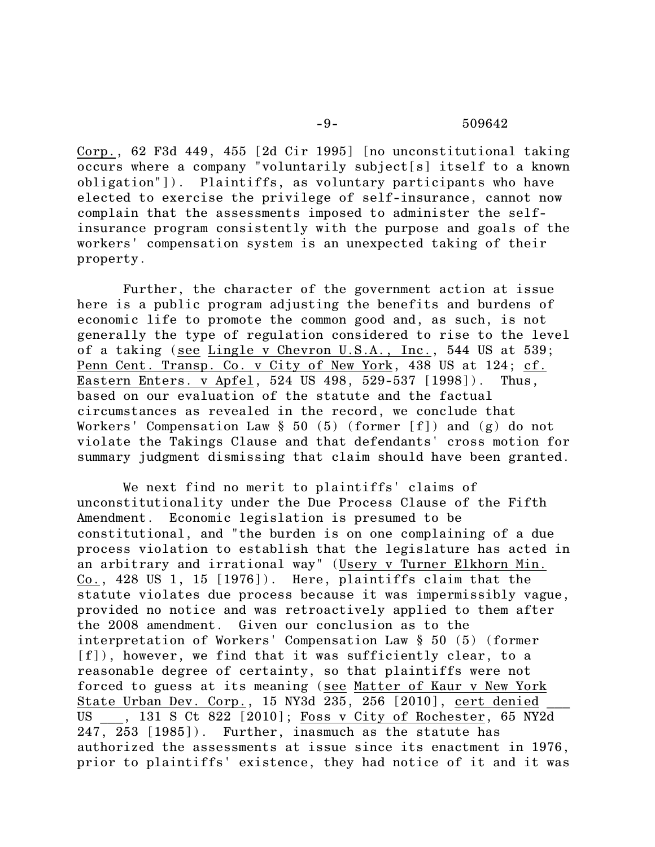#### -9- 509642

Corp., 62 F3d 449, 455 [2d Cir 1995] [no unconstitutional taking occurs where a company "voluntarily subject[s] itself to a known obligation"]). Plaintiffs, as voluntary participants who have elected to exercise the privilege of self-insurance, cannot now complain that the assessments imposed to administer the selfinsurance program consistently with the purpose and goals of the workers' compensation system is an unexpected taking of their property.

Further, the character of the government action at issue here is a public program adjusting the benefits and burdens of economic life to promote the common good and, as such, is not generally the type of regulation considered to rise to the level of a taking (see Lingle v Chevron U.S.A., Inc., 544 US at 539; Penn Cent. Transp. Co. v City of New York, 438 US at 124; cf. Eastern Enters. v Apfel, 524 US 498, 529-537 [1998]). Thus, based on our evaluation of the statute and the factual circumstances as revealed in the record, we conclude that Workers' Compensation Law  $\S$  50 (5) (former [f]) and (g) do not violate the Takings Clause and that defendants' cross motion for summary judgment dismissing that claim should have been granted.

We next find no merit to plaintiffs' claims of unconstitutionality under the Due Process Clause of the Fifth Amendment. Economic legislation is presumed to be constitutional, and "the burden is on one complaining of a due process violation to establish that the legislature has acted in an arbitrary and irrational way" (Usery v Turner Elkhorn Min. Co., 428 US 1, 15 [1976]). Here, plaintiffs claim that the statute violates due process because it was impermissibly vague, provided no notice and was retroactively applied to them after the 2008 amendment. Given our conclusion as to the interpretation of Workers' Compensation Law § 50 (5) (former [f]), however, we find that it was sufficiently clear, to a reasonable degree of certainty, so that plaintiffs were not forced to guess at its meaning (see Matter of Kaur v New York State Urban Dev. Corp., 15 NY3d 235, 256 [2010], cert denied \_\_\_ US \_\_\_, 131 S Ct 822 [2010]; Foss v City of Rochester, 65 NY2d 247, 253 [1985]). Further, inasmuch as the statute has authorized the assessments at issue since its enactment in 1976, prior to plaintiffs' existence, they had notice of it and it was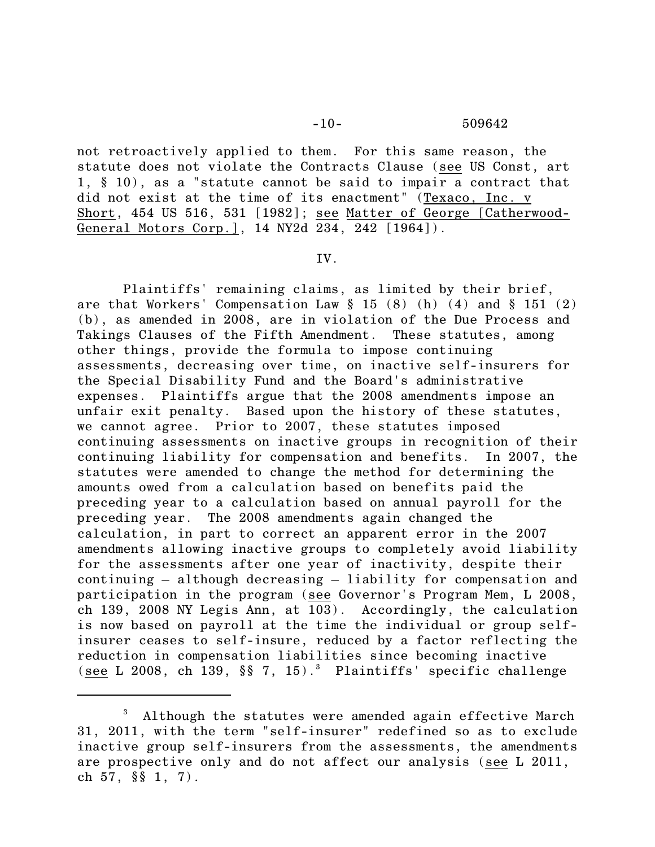not retroactively applied to them. For this same reason, the statute does not violate the Contracts Clause (see US Const, art 1, § 10), as a "statute cannot be said to impair a contract that did not exist at the time of its enactment" (Texaco, Inc. v Short, 454 US 516, 531 [1982]; see Matter of George [Catherwood-General Motors Corp.], 14 NY2d 234, 242 [1964]).

#### IV.

Plaintiffs' remaining claims, as limited by their brief, are that Workers' Compensation Law § 15 (8) (h) (4) and § 151 (2) (b), as amended in 2008, are in violation of the Due Process and Takings Clauses of the Fifth Amendment. These statutes, among other things, provide the formula to impose continuing assessments, decreasing over time, on inactive self-insurers for the Special Disability Fund and the Board's administrative expenses. Plaintiffs argue that the 2008 amendments impose an unfair exit penalty. Based upon the history of these statutes, we cannot agree. Prior to 2007, these statutes imposed continuing assessments on inactive groups in recognition of their continuing liability for compensation and benefits. In 2007, the statutes were amended to change the method for determining the amounts owed from a calculation based on benefits paid the preceding year to a calculation based on annual payroll for the preceding year. The 2008 amendments again changed the calculation, in part to correct an apparent error in the 2007 amendments allowing inactive groups to completely avoid liability for the assessments after one year of inactivity, despite their continuing – although decreasing – liability for compensation and participation in the program (see Governor's Program Mem, L 2008, ch 139, 2008 NY Legis Ann, at 103). Accordingly, the calculation is now based on payroll at the time the individual or group selfinsurer ceases to self-insure, reduced by a factor reflecting the reduction in compensation liabilities since becoming inactive (see L 2008, ch 139,  $\S$  $\S$  7, 15).<sup>3</sup> Plaintiffs' specific challenge

Although the statutes were amended again effective March 31, 2011, with the term "self-insurer" redefined so as to exclude inactive group self-insurers from the assessments, the amendments are prospective only and do not affect our analysis (see L 2011, ch 57, §§ 1, 7).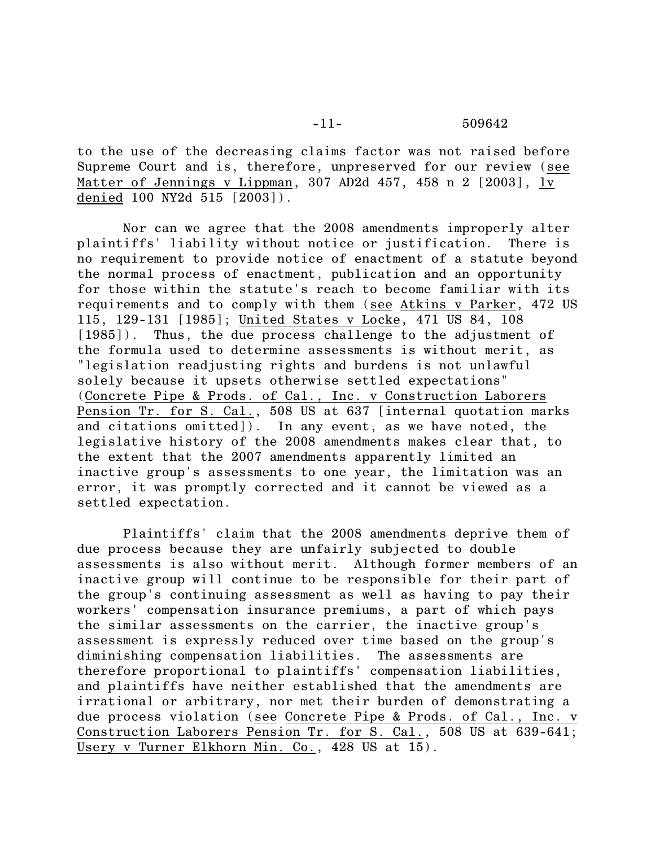to the use of the decreasing claims factor was not raised before Supreme Court and is, therefore, unpreserved for our review (see Matter of Jennings v Lippman, 307 AD2d 457, 458 n 2 [2003], lv denied 100 NY2d 515 [2003]).

Nor can we agree that the 2008 amendments improperly alter plaintiffs' liability without notice or justification. There is no requirement to provide notice of enactment of a statute beyond the normal process of enactment, publication and an opportunity for those within the statute's reach to become familiar with its requirements and to comply with them (see Atkins v Parker, 472 US 115, 129-131 [1985]; United States v Locke, 471 US 84, 108 [1985]). Thus, the due process challenge to the adjustment of the formula used to determine assessments is without merit, as "legislation readjusting rights and burdens is not unlawful solely because it upsets otherwise settled expectations" (Concrete Pipe & Prods. of Cal., Inc. v Construction Laborers Pension Tr. for S. Cal., 508 US at 637 [internal quotation marks] and citations omitted]). In any event, as we have noted, the legislative history of the 2008 amendments makes clear that, to the extent that the 2007 amendments apparently limited an inactive group's assessments to one year, the limitation was an error, it was promptly corrected and it cannot be viewed as a settled expectation.

Plaintiffs' claim that the 2008 amendments deprive them of due process because they are unfairly subjected to double assessments is also without merit. Although former members of an inactive group will continue to be responsible for their part of the group's continuing assessment as well as having to pay their workers' compensation insurance premiums, a part of which pays the similar assessments on the carrier, the inactive group's assessment is expressly reduced over time based on the group's diminishing compensation liabilities. The assessments are therefore proportional to plaintiffs' compensation liabilities, and plaintiffs have neither established that the amendments are irrational or arbitrary, nor met their burden of demonstrating a due process violation (see Concrete Pipe & Prods. of Cal., Inc. v Construction Laborers Pension Tr. for S. Cal., 508 US at 639-641; Usery v Turner Elkhorn Min. Co., 428 US at 15).